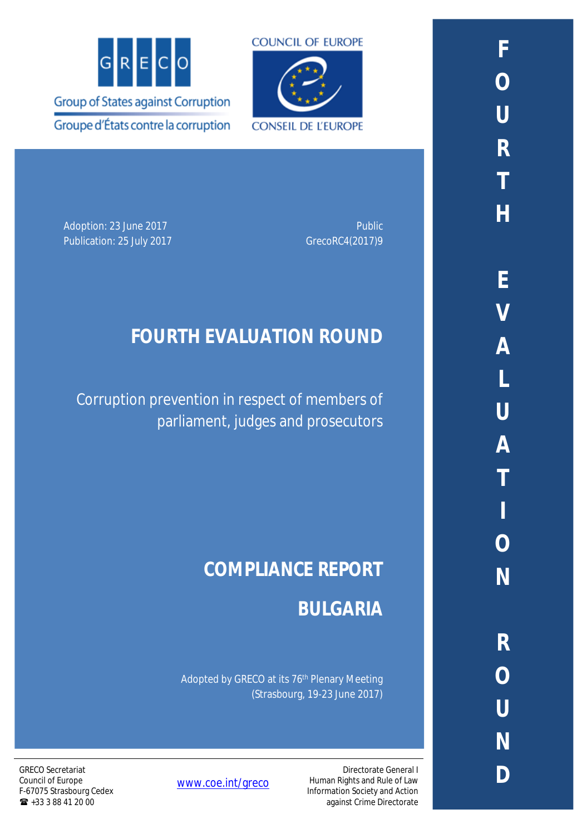



Adoption: 23 June 2017 **Public 2017 Public 2017** Publication: 25 July 2017 Case Control of GrecoRC4(2017)9

## **FOURTH EVALUATION ROUND**

Corruption prevention in respect of members of parliament, judges and prosecutors

# **COMPLIANCE REPORT**

**BULGARIA**

Directorate General I

Human Rights and Rule of Law Information Society and Action against Crime Directorate

Adopted by GRECO at its 76th Plenary Meeting (Strasbourg, 19-23 June 2017)

[www.coe.int/greco](http://www.coe.int/greco)

GRECO Secretariat Council of Europe F-67075 Strasbourg Cedex  $\bullet$  +33 3 88 41 20 00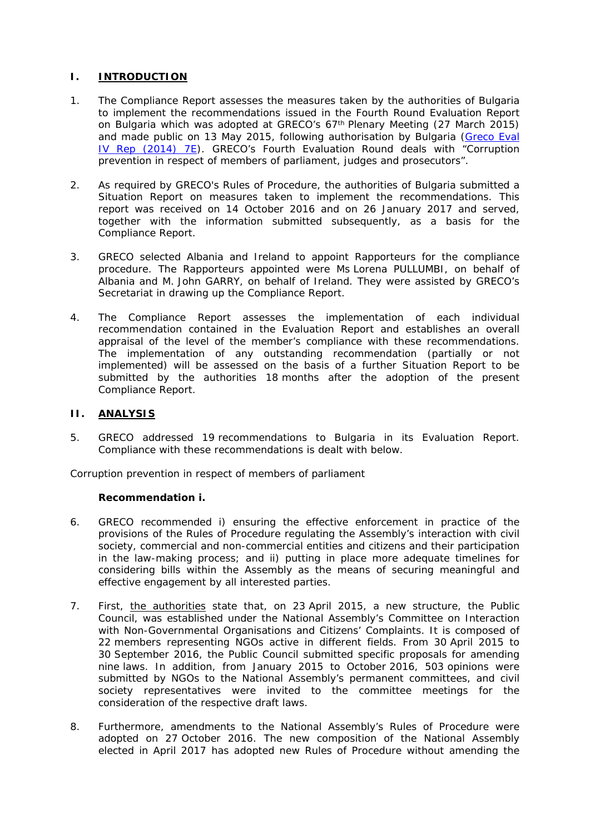### **I. INTRODUCTION**

- 1. The Compliance Report assesses the measures taken by the authorities of Bulgaria to implement the recommendations issued in the Fourth Round Evaluation Report on Bulgaria which was adopted at GRECO's 67th Plenary Meeting (27 March 2015) and made public on 13 May 2015, following authorisation by Bulgaria ([Greco Eval](https://rm.coe.int/CoERMPublicCommonSearchServices/DisplayDCTMContent?documentId=09000016806c983f)  [IV Rep \(2014\) 7E\)](https://rm.coe.int/CoERMPublicCommonSearchServices/DisplayDCTMContent?documentId=09000016806c983f). GRECO's Fourth Evaluation Round deals with "Corruption prevention in respect of members of parliament, judges and prosecutors".
- 2. As required by GRECO's Rules of Procedure, the authorities of Bulgaria submitted a Situation Report on measures taken to implement the recommendations. This report was received on 14 October 2016 and on 26 January 2017 and served, together with the information submitted subsequently, as a basis for the Compliance Report.
- 3. GRECO selected Albania and Ireland to appoint Rapporteurs for the compliance procedure. The Rapporteurs appointed were Ms Lorena PULLUMBI, on behalf of Albania and M. John GARRY, on behalf of Ireland. They were assisted by GRECO's Secretariat in drawing up the Compliance Report.
- 4. The Compliance Report assesses the implementation of each individual recommendation contained in the Evaluation Report and establishes an overall appraisal of the level of the member's compliance with these recommendations. The implementation of any outstanding recommendation (partially or not implemented) will be assessed on the basis of a further Situation Report to be submitted by the authorities 18 months after the adoption of the present Compliance Report.
- **II. ANALYSIS**
- 5. GRECO addressed 19 recommendations to Bulgaria in its Evaluation Report. Compliance with these recommendations is dealt with below.

*Corruption prevention in respect of members of parliament*

**Recommendation i.**

- 6. *GRECO recommended i) ensuring the effective enforcement in practice of the provisions of the Rules of Procedure regulating the Assembly's interaction with civil society, commercial and non-commercial entities and citizens and their participation in the law-making process; and ii) putting in place more adequate timelines for considering bills within the Assembly as the means of securing meaningful and effective engagement by all interested parties.*
- 7. First, the authorities state that, on 23 April 2015, a new structure, the Public Council, was established under the National Assembly's Committee on Interaction with Non-Governmental Organisations and Citizens' Complaints. It is composed of 22 members representing NGOs active in different fields. From 30 April 2015 to 30 September 2016, the Public Council submitted specific proposals for amending nine laws. In addition, from January 2015 to October 2016, 503 opinions were submitted by NGOs to the National Assembly's permanent committees, and civil society representatives were invited to the committee meetings for the consideration of the respective draft laws.
- 8. Furthermore, amendments to the National Assembly's Rules of Procedure were adopted on 27 October 2016. The new composition of the National Assembly elected in April 2017 has adopted new Rules of Procedure without amending the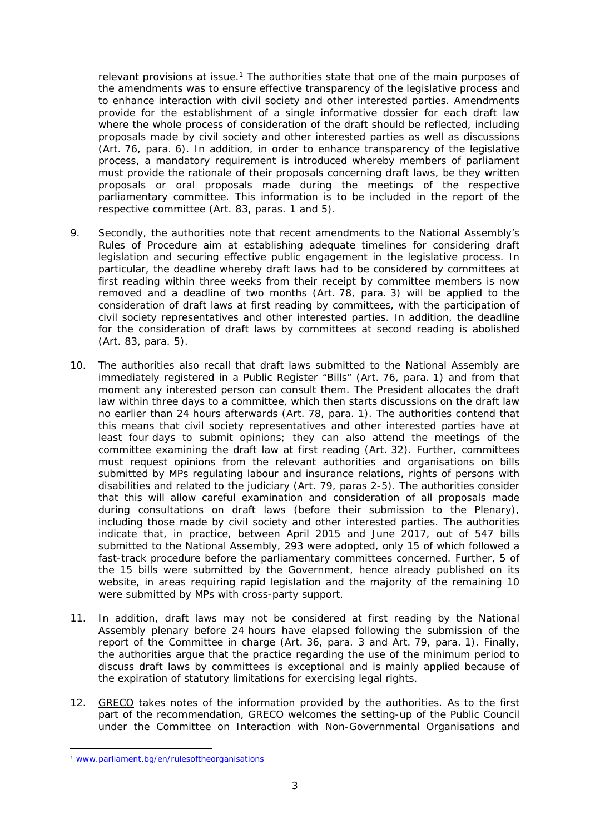relevant provisions at issue.<sup>1</sup> The authorities state that one of the main purposes of the amendments was to ensure effective transparency of the legislative process and to enhance interaction with civil society and other interested parties. Amendments provide for the establishment of a single informative dossier for each draft law where the whole process of consideration of the draft should be reflected, including proposals made by civil society and other interested parties as well as discussions (Art. 76, para. 6). In addition, in order to enhance transparency of the legislative process, a mandatory requirement is introduced whereby members of parliament must provide the rationale of their proposals concerning draft laws, be they written proposals or oral proposals made during the meetings of the respective parliamentary committee. This information is to be included in the report of the respective committee (Art. 83, paras. 1 and 5).

- 9. Secondly, the authorities note that recent amendments to the National Assembly's Rules of Procedure aim at establishing adequate timelines for considering draft legislation and securing effective public engagement in the legislative process. In particular, the deadline whereby draft laws had to be considered by committees at first reading within three weeks from their receipt by committee members is now removed and a deadline of two months (Art. 78, para. 3) will be applied to the consideration of draft laws at first reading by committees, with the participation of civil society representatives and other interested parties. In addition, the deadline for the consideration of draft laws by committees at second reading is abolished (Art. 83, para. 5).
- 10. The authorities also recall that draft laws submitted to the National Assembly are immediately registered in a Public Register "Bills" (Art. 76, para. 1) and from that moment any interested person can consult them. The President allocates the draft law within three days to a committee, which then starts discussions on the draft law no earlier than 24 hours afterwards (Art. 78, para. 1). The authorities contend that this means that civil society representatives and other interested parties have at least four days to submit opinions; they can also attend the meetings of the committee examining the draft law at first reading (Art. 32). Further, committees must request opinions from the relevant authorities and organisations on bills submitted by MPs regulating labour and insurance relations, rights of persons with disabilities and related to the judiciary (Art. 79, paras 2-5). The authorities consider that this will allow careful examination and consideration of all proposals made during consultations on draft laws (before their submission to the Plenary), including those made by civil society and other interested parties. The authorities indicate that, in practice, between April 2015 and June 2017, out of 547 bills submitted to the National Assembly, 293 were adopted, only 15 of which followed a fast-track procedure before the parliamentary committees concerned. Further, 5 of the 15 bills were submitted by the Government, hence already published on its website, in areas requiring rapid legislation and the majority of the remaining 10 were submitted by MPs with cross-party support.
- 11. In addition, draft laws may not be considered at first reading by the National Assembly plenary before 24 hours have elapsed following the submission of the report of the Committee in charge (Art. 36, para. 3 and Art. 79, para. 1). Finally, the authorities argue that the practice regarding the use of the minimum period to discuss draft laws by committees is exceptional and is mainly applied because of the expiration of statutory limitations for exercising legal rights.
- 12. GRECO takes notes of the information provided by the authorities. As to the first part of the recommendation, GRECO welcomes the setting-up of the Public Council under the Committee on Interaction with Non-Governmental Organisations and

<sup>1</sup> [www.parliament.bg/en/rulesoftheorganisations](http://www.parliament.bg/en/rulesoftheorganisations)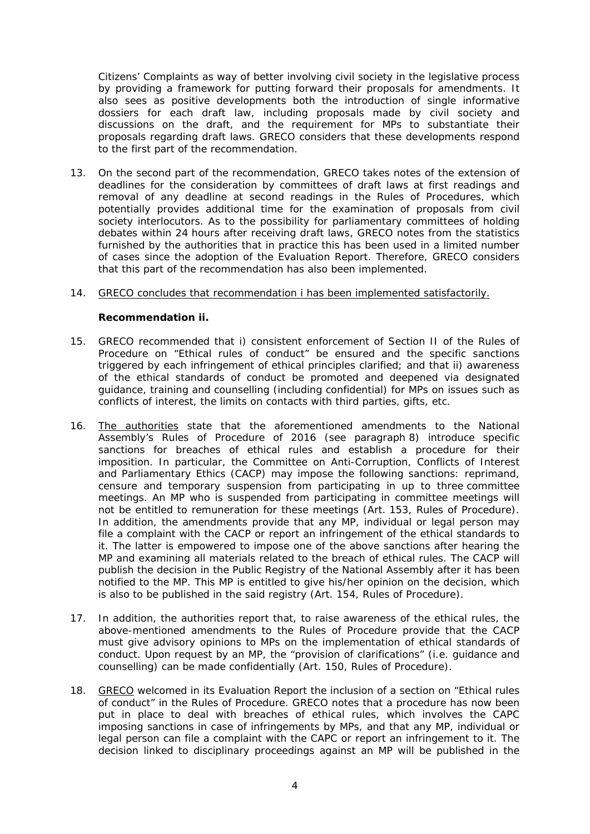Citizens' Complaints as way of better involving civil society in the legislative process by providing a framework for putting forward their proposals for amendments. It also sees as positive developments both the introduction of single informative dossiers for each draft law, including proposals made by civil society and discussions on the draft, and the requirement for MPs to substantiate their proposals regarding draft laws. GRECO considers that these developments respond to the first part of the recommendation.

13. On the second part of the recommendation, GRECO takes notes of the extension of deadlines for the consideration by committees of draft laws at first readings and removal of any deadline at second readings in the Rules of Procedures, which potentially provides additional time for the examination of proposals from civil society interlocutors. As to the possibility for parliamentary committees of holding debates within 24 hours after receiving draft laws, GRECO notes from the statistics furnished by the authorities that in practice this has been used in a limited number of cases since the adoption of the Evaluation Report. Therefore, GRECO considers that this part of the recommendation has also been implemented.

#### 14. GRECO concludes that recommendation i has been implemented satisfactorily.

**Recommendation ii.**

- 15. *GRECO recommended that i) consistent enforcement of Section II of the Rules of Procedure on "Ethical rules of conduct" be ensured and the specific sanctions triggered by each infringement of ethical principles clarified; and that ii) awareness of the ethical standards of conduct be promoted and deepened via designated guidance, training and counselling (including confidential) for MPs on issues such as conflicts of interest, the limits on contacts with third parties, gifts, etc.*
- 16. The authorities state that the aforementioned amendments to the National Assembly's Rules of Procedure of 2016 (see paragraph 8) introduce specific sanctions for breaches of ethical rules and establish a procedure for their imposition. In particular, the Committee on Anti-Corruption, Conflicts of Interest and Parliamentary Ethics (CACP) may impose the following sanctions: reprimand, censure and temporary suspension from participating in up to three committee meetings. An MP who is suspended from participating in committee meetings will not be entitled to remuneration for these meetings (Art. 153, Rules of Procedure). In addition, the amendments provide that any MP, individual or legal person may file a complaint with the CACP or report an infringement of the ethical standards to it. The latter is empowered to impose one of the above sanctions after hearing the MP and examining all materials related to the breach of ethical rules. The CACP will publish the decision in the Public Registry of the National Assembly after it has been notified to the MP. This MP is entitled to give his/her opinion on the decision, which is also to be published in the said registry (Art. 154, Rules of Procedure).
- 17. In addition, the authorities report that, to raise awareness of the ethical rules, the above-mentioned amendments to the Rules of Procedure provide that the CACP must give advisory opinions to MPs on the implementation of ethical standards of conduct. Upon request by an MP, the "provision of clarifications" (i.e. guidance and counselling) can be made confidentially (Art. 150, Rules of Procedure).
- 18. GRECO welcomed in its Evaluation Report the inclusion of a section on "Ethical rules of conduct" in the Rules of Procedure. GRECO notes that a procedure has now been put in place to deal with breaches of ethical rules, which involves the CAPC imposing sanctions in case of infringements by MPs, and that any MP, individual or legal person can file a complaint with the CAPC or report an infringement to it. The decision linked to disciplinary proceedings against an MP will be published in the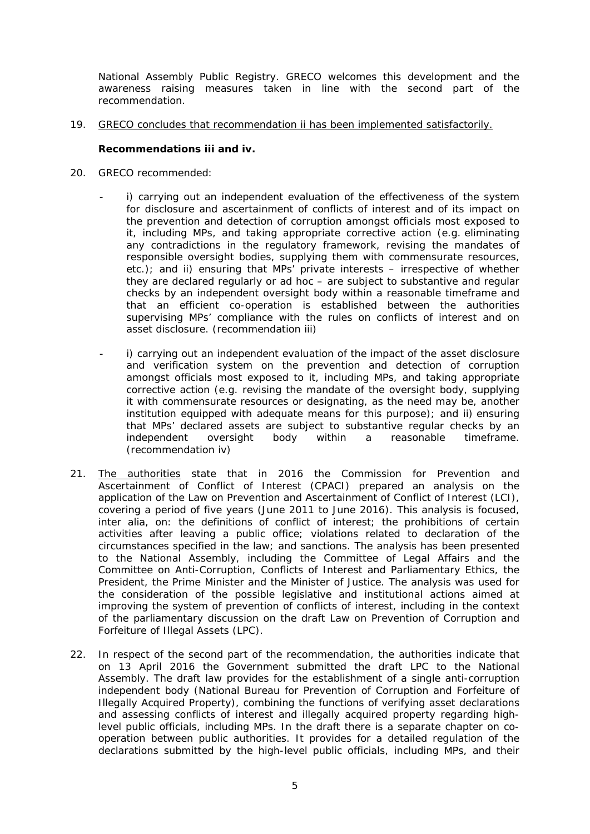National Assembly Public Registry. GRECO welcomes this development and the awareness raising measures taken in line with the second part of the recommendation.

19. GRECO concludes that recommendation ii has been implemented satisfactorily.

**Recommendations iii and iv.**

- 20. *GRECO recommended:*
	- *i*) carrying out an independent evaluation of the effectiveness of the system *for disclosure and ascertainment of conflicts of interest and of its impact on the prevention and detection of corruption amongst officials most exposed to it, including MPs, and taking appropriate corrective action (e.g. eliminating any contradictions in the regulatory framework, revising the mandates of responsible oversight bodies, supplying them with commensurate resources, etc.); and ii) ensuring that MPs' private interests – irrespective of whether they are declared regularly or ad hoc – are subject to substantive and regular checks by an independent oversight body within a reasonable timeframe and that an efficient co-operation is established between the authorities supervising MPs' compliance with the rules on conflicts of interest and on asset disclosure. (recommendation iii)*
	- i) carrying out an independent evaluation of the impact of the asset disclosure *and verification system on the prevention and detection of corruption amongst officials most exposed to it, including MPs, and taking appropriate corrective action (e.g. revising the mandate of the oversight body, supplying it with commensurate resources or designating, as the need may be, another institution equipped with adequate means for this purpose); and ii) ensuring that MPs' declared assets are subject to substantive regular checks by an independent oversight body within a reasonable timeframe. (recommendation iv)*
- 21. The authorities state that in 2016 the Commission for Prevention and Ascertainment of Conflict of Interest (CPACI) prepared an analysis on the application of the Law on Prevention and Ascertainment of Conflict of Interest (LCI), covering a period of five years (June 2011 to June 2016). This analysis is focused, *inter alia*, on: the definitions of conflict of interest; the prohibitions of certain activities after leaving a public office; violations related to declaration of the circumstances specified in the law; and sanctions. The analysis has been presented to the National Assembly, including the Committee of Legal Affairs and the Committee on Anti-Corruption, Conflicts of Interest and Parliamentary Ethics, the President, the Prime Minister and the Minister of Justice. The analysis was used for the consideration of the possible legislative and institutional actions aimed at improving the system of prevention of conflicts of interest, including in the context of the parliamentary discussion on the draft Law on Prevention of Corruption and Forfeiture of Illegal Assets (LPC).
- 22. In respect of the second part of the recommendation, the authorities indicate that on 13 April 2016 the Government submitted the draft LPC to the National Assembly. The draft law provides for the establishment of a single anti-corruption independent body (National Bureau for Prevention of Corruption and Forfeiture of Illegally Acquired Property), combining the functions of verifying asset declarations and assessing conflicts of interest and illegally acquired property regarding highlevel public officials, including MPs. In the draft there is a separate chapter on cooperation between public authorities. It provides for a detailed regulation of the declarations submitted by the high-level public officials, including MPs, and their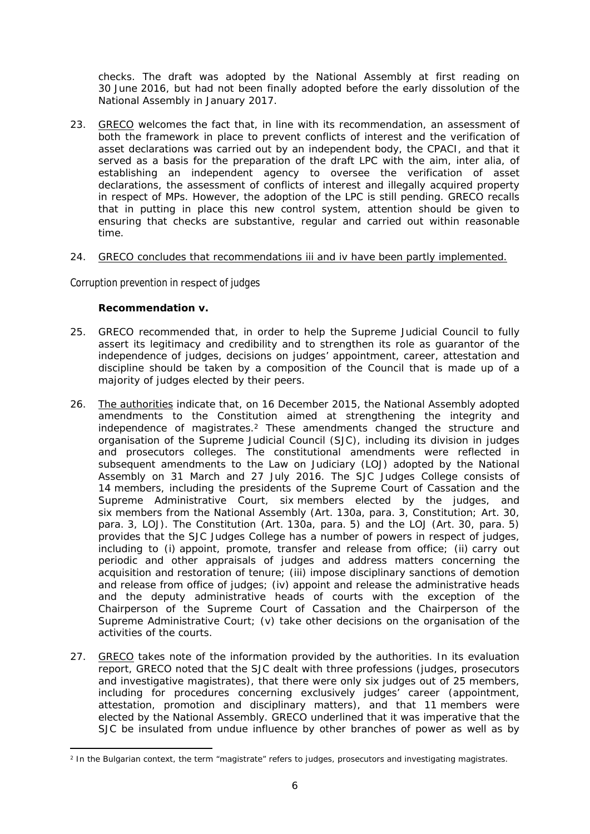checks. The draft was adopted by the National Assembly at first reading on 30 June 2016, but had not been finally adopted before the early dissolution of the National Assembly in January 2017.

23. GRECO welcomes the fact that, in line with its recommendation, an assessment of both the framework in place to prevent conflicts of interest and the verification of asset declarations was carried out by an independent body, the CPACI, and that it served as a basis for the preparation of the draft LPC with the aim, *inter alia*, of establishing an independent agency to oversee the verification of asset declarations, the assessment of conflicts of interest and illegally acquired property in respect of MPs. However, the adoption of the LPC is still pending. GRECO recalls that in putting in place this new control system, attention should be given to ensuring that checks are substantive, regular and carried out within reasonable time.

#### 24. GRECO concludes that recommendations iii and iv have been partly implemented.

#### *Corruption prevention in respect of judges*

**Recommendation v.**

- 25. *GRECO recommended that, in order to help the Supreme Judicial Council to fully assert its legitimacy and credibility and to strengthen its role as guarantor of the independence of judges, decisions on judges' appointment, career, attestation and discipline should be taken by a composition of the Council that is made up of a majority of judges elected by their peers.*
- 26. The authorities indicate that, on 16 December 2015, the National Assembly adopted amendments to the Constitution aimed at strengthening the integrity and independence of magistrates.<sup>2</sup> These amendments changed the structure and organisation of the Supreme Judicial Council (SJC), including its division in judges and prosecutors colleges. The constitutional amendments were reflected in subsequent amendments to the Law on Judiciary (LOJ) adopted by the National Assembly on 31 March and 27 July 2016. The SJC Judges College consists of 14 members, including the presidents of the Supreme Court of Cassation and the Supreme Administrative Court, six members elected by the judges, and six members from the National Assembly (Art. 130a, para. 3, Constitution; Art. 30, para. 3, LOJ). The Constitution (Art. 130a, para. 5) and the LOJ (Art. 30, para. 5) provides that the SJC Judges College has a number of powers in respect of judges, including to (i) appoint, promote, transfer and release from office; (ii) carry out periodic and other appraisals of judges and address matters concerning the acquisition and restoration of tenure; (iii) impose disciplinary sanctions of demotion and release from office of judges; (iv) appoint and release the administrative heads and the deputy administrative heads of courts with the exception of the Chairperson of the Supreme Court of Cassation and the Chairperson of the Supreme Administrative Court; (v) take other decisions on the organisation of the activities of the courts.
- 27. GRECO takes note of the information provided by the authorities. In its evaluation report, GRECO noted that the SJC dealt with three professions (judges, prosecutors and investigative magistrates), that there were only six judges out of 25 members, including for procedures concerning exclusively judges' career (appointment, attestation, promotion and disciplinary matters), and that 11 members were elected by the National Assembly. GRECO underlined that it was imperative that the SJC be insulated from undue influence by other branches of power as well as by

<sup>2</sup> In the Bulgarian context, the term "magistrate" refers to judges, prosecutors and investigating magistrates.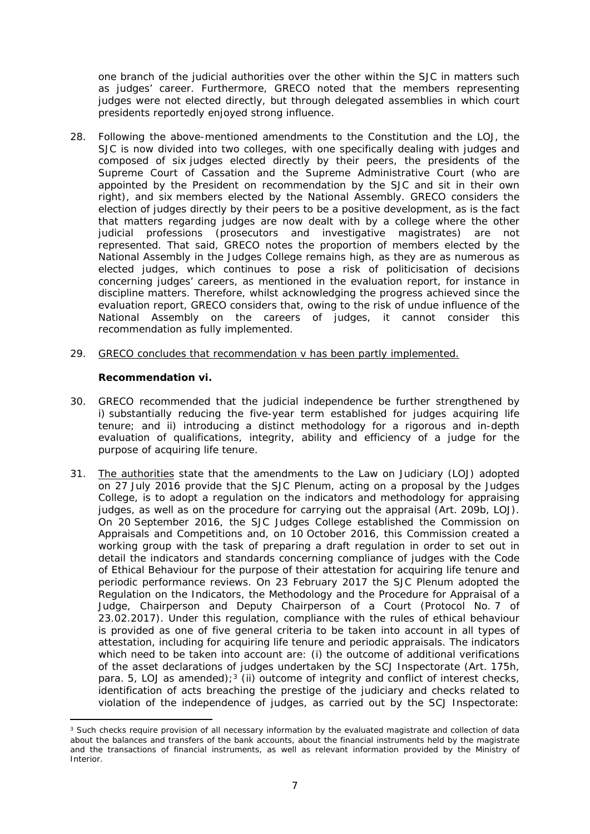one branch of the judicial authorities over the other within the SJC in matters such as judges' career. Furthermore, GRECO noted that the members representing judges were not elected directly, but through delegated assemblies in which court presidents reportedly enjoyed strong influence.

- 28. Following the above-mentioned amendments to the Constitution and the LOJ, the SJC is now divided into two colleges, with one specifically dealing with judges and composed of six judges elected directly by their peers, the presidents of the Supreme Court of Cassation and the Supreme Administrative Court (who are appointed by the President on recommendation by the SJC and sit in their own right), and six members elected by the National Assembly. GRECO considers the election of judges directly by their peers to be a positive development, as is the fact that matters regarding judges are now dealt with by a college where the other iudicial professions (prosecutors and investigative magistrates) are not represented. That said, GRECO notes the proportion of members elected by the National Assembly in the Judges College remains high, as they are as numerous as elected judges, which continues to pose a risk of politicisation of decisions concerning judges' careers, as mentioned in the evaluation report, for instance in discipline matters. Therefore, whilst acknowledging the progress achieved since the evaluation report, GRECO considers that, owing to the risk of undue influence of the National Assembly on the careers of judges, it cannot consider this recommendation as fully implemented.
- 29. GRECO concludes that recommendation v has been partly implemented.

**Recommendation vi.**

- 30. *GRECO recommended that the judicial independence be further strengthened by i) substantially reducing the five-year term established for judges acquiring life tenure; and ii) introducing a distinct methodology for a rigorous and in-depth evaluation of qualifications, integrity, ability and efficiency of a judge for the purpose of acquiring life tenure.*
- 31. The authorities state that the amendments to the Law on Judiciary (LOJ) adopted on 27 July 2016 provide that the SJC Plenum, acting on a proposal by the Judges College, is to adopt a regulation on the indicators and methodology for appraising judges, as well as on the procedure for carrying out the appraisal (Art. 209b, LOJ). On 20 September 2016, the SJC Judges College established the Commission on Appraisals and Competitions and, on 10 October 2016, this Commission created a working group with the task of preparing a draft regulation in order to set out in detail the indicators and standards concerning compliance of judges with the Code of Ethical Behaviour for the purpose of their attestation for acquiring life tenure and periodic performance reviews. On 23 February 2017 the SJC Plenum adopted the Regulation on the Indicators, the Methodology and the Procedure for Appraisal of a Judge, Chairperson and Deputy Chairperson of a Court (Protocol No. 7 of 23.02.2017). Under this regulation, compliance with the rules of ethical behaviour is provided as one of five general criteria to be taken into account in all types of attestation, including for acquiring life tenure and periodic appraisals. The indicators which need to be taken into account are: (i) the outcome of additional verifications of the asset declarations of judges undertaken by the SCJ Inspectorate (Art. 175h, para. 5, LOJ as amended);<sup>3</sup> (ii) outcome of integrity and conflict of interest checks, identification of acts breaching the prestige of the judiciary and checks related to violation of the independence of judges, as carried out by the SCJ Inspectorate:

<sup>&</sup>lt;sup>3</sup> Such checks require provision of all necessary information by the evaluated magistrate and collection of data about the balances and transfers of the bank accounts, about the financial instruments held by the magistrate and the transactions of financial instruments, as well as relevant information provided by the Ministry of Interior.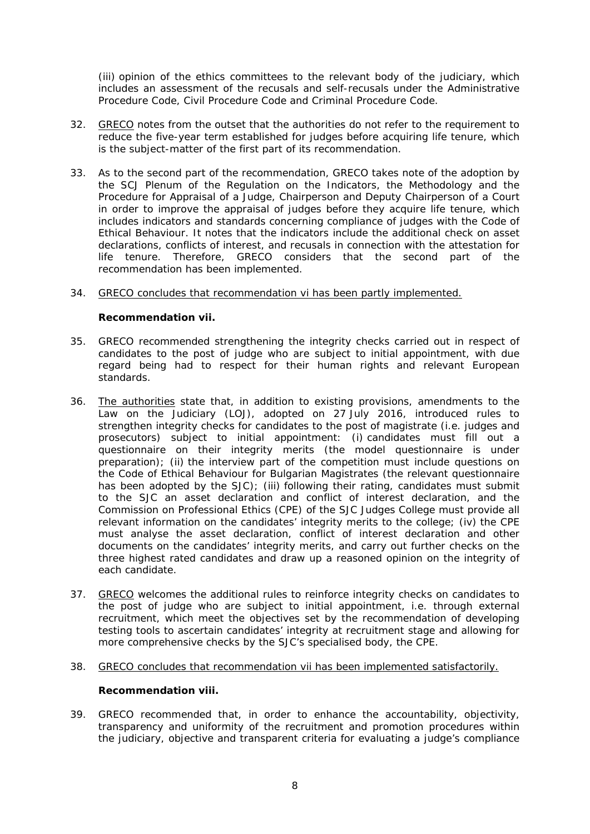(iii) opinion of the ethics committees to the relevant body of the judiciary, which includes an assessment of the recusals and self-recusals under the Administrative Procedure Code, Civil Procedure Code and Criminal Procedure Code.

- 32. GRECO notes from the outset that the authorities do not refer to the requirement to reduce the five-year term established for judges before acquiring life tenure, which is the subject-matter of the first part of its recommendation.
- 33. As to the second part of the recommendation, GRECO takes note of the adoption by the SCJ Plenum of the Regulation on the Indicators, the Methodology and the Procedure for Appraisal of a Judge, Chairperson and Deputy Chairperson of a Court in order to improve the appraisal of judges before they acquire life tenure, which includes indicators and standards concerning compliance of judges with the Code of Ethical Behaviour. It notes that the indicators include the additional check on asset declarations, conflicts of interest, and recusals in connection with the attestation for life tenure. Therefore, GRECO considers that the second part of the recommendation has been implemented.
- 34. GRECO concludes that recommendation vi has been partly implemented.

**Recommendation vii.**

- 35. *GRECO recommended strengthening the integrity checks carried out in respect of candidates to the post of judge who are subject to initial appointment, with due regard being had to respect for their human rights and relevant European standards.*
- 36. The authorities state that, in addition to existing provisions, amendments to the Law on the Judiciary (LOJ), adopted on 27 July 2016, introduced rules to strengthen integrity checks for candidates to the post of magistrate (i.e. judges and prosecutors) subject to initial appointment: (i) candidates must fill out a questionnaire on their integrity merits (the model questionnaire is under preparation); (ii) the interview part of the competition must include questions on the Code of Ethical Behaviour for Bulgarian Magistrates (the relevant questionnaire has been adopted by the SJC); (iii) following their rating, candidates must submit to the SJC an asset declaration and conflict of interest declaration, and the Commission on Professional Ethics (CPE) of the SJC Judges College must provide all relevant information on the candidates' integrity merits to the college; (iv) the CPE must analyse the asset declaration, conflict of interest declaration and other documents on the candidates' integrity merits, and carry out further checks on the three highest rated candidates and draw up a reasoned opinion on the integrity of each candidate.
- 37. GRECO welcomes the additional rules to reinforce integrity checks on candidates to the post of judge who are subject to initial appointment, i.e. through external recruitment, which meet the objectives set by the recommendation of developing testing tools to ascertain candidates' integrity at recruitment stage and allowing for more comprehensive checks by the SJC's specialised body, the CPE.
- 38. GRECO concludes that recommendation vii has been implemented satisfactorily.

**Recommendation viii.**

39. *GRECO recommended that, in order to enhance the accountability, objectivity, transparency and uniformity of the recruitment and promotion procedures within the judiciary, objective and transparent criteria for evaluating a judge's compliance*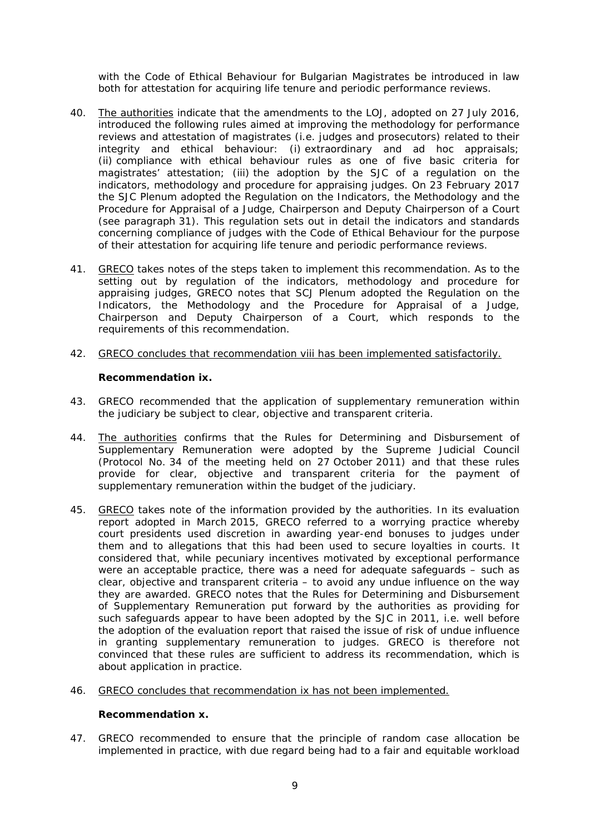*with the Code of Ethical Behaviour for Bulgarian Magistrates be introduced in law both for attestation for acquiring life tenure and periodic performance reviews.*

- 40. The authorities indicate that the amendments to the LOJ, adopted on 27 July 2016, introduced the following rules aimed at improving the methodology for performance reviews and attestation of magistrates (i.e. judges and prosecutors) related to their integrity and ethical behaviour: (i) extraordinary and ad hoc appraisals; (ii) compliance with ethical behaviour rules as one of five basic criteria for magistrates' attestation; (iii) the adoption by the SJC of a regulation on the indicators, methodology and procedure for appraising judges. On 23 February 2017 the SJC Plenum adopted the Regulation on the Indicators, the Methodology and the Procedure for Appraisal of a Judge, Chairperson and Deputy Chairperson of a Court (see paragraph 31). This regulation sets out in detail the indicators and standards concerning compliance of judges with the Code of Ethical Behaviour for the purpose of their attestation for acquiring life tenure and periodic performance reviews.
- 41. GRECO takes notes of the steps taken to implement this recommendation. As to the setting out by regulation of the indicators, methodology and procedure for appraising judges, GRECO notes that SCJ Plenum adopted the Regulation on the Indicators, the Methodology and the Procedure for Appraisal of a Judge, Chairperson and Deputy Chairperson of a Court, which responds to the requirements of this recommendation.
- 42. GRECO concludes that recommendation viii has been implemented satisfactorily.

**Recommendation ix.**

- 43. *GRECO recommended that the application of supplementary remuneration within the judiciary be subject to clear, objective and transparent criteria.*
- 44. The authorities confirms that the Rules for Determining and Disbursement of Supplementary Remuneration were adopted by the Supreme Judicial Council (Protocol No. 34 of the meeting held on 27 October 2011) and that these rules provide for clear, objective and transparent criteria for the payment of supplementary remuneration within the budget of the judiciary.
- 45. GRECO takes note of the information provided by the authorities. In its evaluation report adopted in March 2015, GRECO referred to a worrying practice whereby court presidents used discretion in awarding year-end bonuses to judges under them and to allegations that this had been used to secure loyalties in courts. It considered that, while pecuniary incentives motivated by exceptional performance were an acceptable practice, there was a need for adequate safeguards – such as clear, objective and transparent criteria – to avoid any undue influence on the way they are awarded. GRECO notes that the Rules for Determining and Disbursement of Supplementary Remuneration put forward by the authorities as providing for such safeguards appear to have been adopted by the SJC in 2011, i.e. well before the adoption of the evaluation report that raised the issue of risk of undue influence in granting supplementary remuneration to judges. GRECO is therefore not convinced that these rules are sufficient to address its recommendation, which is about application in practice.
- 46. GRECO concludes that recommendation ix has not been implemented.

**Recommendation x.**

47. *GRECO recommended to ensure that the principle of random case allocation be implemented in practice, with due regard being had to a fair and equitable workload*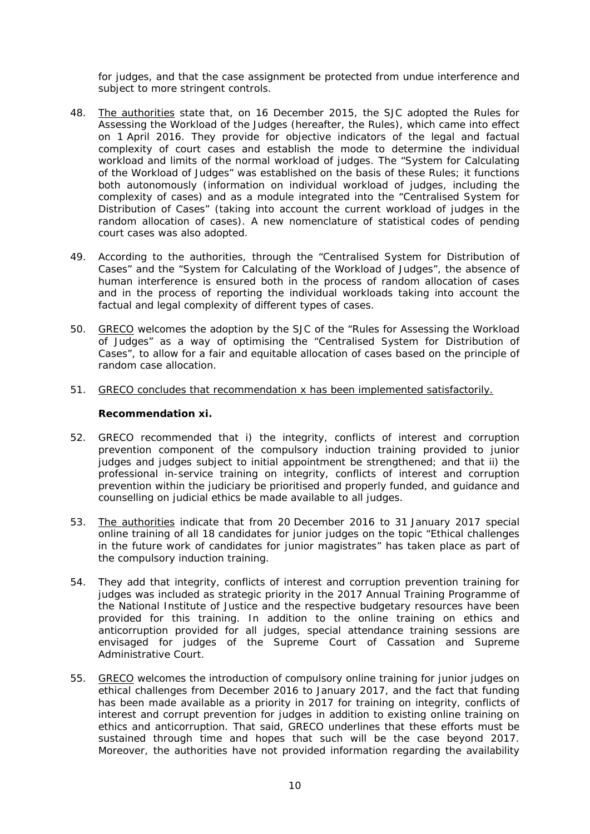*for judges, and that the case assignment be protected from undue interference and subject to more stringent controls.*

- 48. The authorities state that, on 16 December 2015, the SJC adopted the Rules for Assessing the Workload of the Judges (hereafter, the Rules), which came into effect on 1 April 2016. They provide for objective indicators of the legal and factual complexity of court cases and establish the mode to determine the individual workload and limits of the normal workload of judges. The "System for Calculating of the Workload of Judges" was established on the basis of these Rules; it functions both autonomously (information on individual workload of judges, including the complexity of cases) and as a module integrated into the "Centralised System for Distribution of Cases" (taking into account the current workload of judges in the random allocation of cases). A new nomenclature of statistical codes of pending court cases was also adopted.
- 49. According to the authorities, through the "Centralised System for Distribution of Cases" and the "System for Calculating of the Workload of Judges", the absence of human interference is ensured both in the process of random allocation of cases and in the process of reporting the individual workloads taking into account the factual and legal complexity of different types of cases.
- 50. GRECO welcomes the adoption by the SJC of the "Rules for Assessing the Workload of Judges" as a way of optimising the "Centralised System for Distribution of Cases", to allow for a fair and equitable allocation of cases based on the principle of random case allocation.
- 51. GRECO concludes that recommendation x has been implemented satisfactorily.

**Recommendation xi.**

- 52. *GRECO recommended that i) the integrity, conflicts of interest and corruption prevention component of the compulsory induction training provided to junior judges and judges subject to initial appointment be strengthened; and that ii) the professional in-service training on integrity, conflicts of interest and corruption prevention within the judiciary be prioritised and properly funded, and guidance and counselling on judicial ethics be made available to all judges.*
- 53. The authorities indicate that from 20 December 2016 to 31 January 2017 special online training of all 18 candidates for junior judges on the topic "Ethical challenges in the future work of candidates for junior magistrates" has taken place as part of the compulsory induction training.
- 54. They add that integrity, conflicts of interest and corruption prevention training for judges was included as strategic priority in the 2017 Annual Training Programme of the National Institute of Justice and the respective budgetary resources have been provided for this training. In addition to the online training on ethics and anticorruption provided for all judges, special attendance training sessions are envisaged for judges of the Supreme Court of Cassation and Supreme Administrative Court.
- 55. GRECO welcomes the introduction of compulsory online training for junior judges on ethical challenges from December 2016 to January 2017, and the fact that funding has been made available as a priority in 2017 for training on integrity, conflicts of interest and corrupt prevention for judges in addition to existing online training on ethics and anticorruption. That said, GRECO underlines that these efforts must be sustained through time and hopes that such will be the case beyond 2017. Moreover, the authorities have not provided information regarding the availability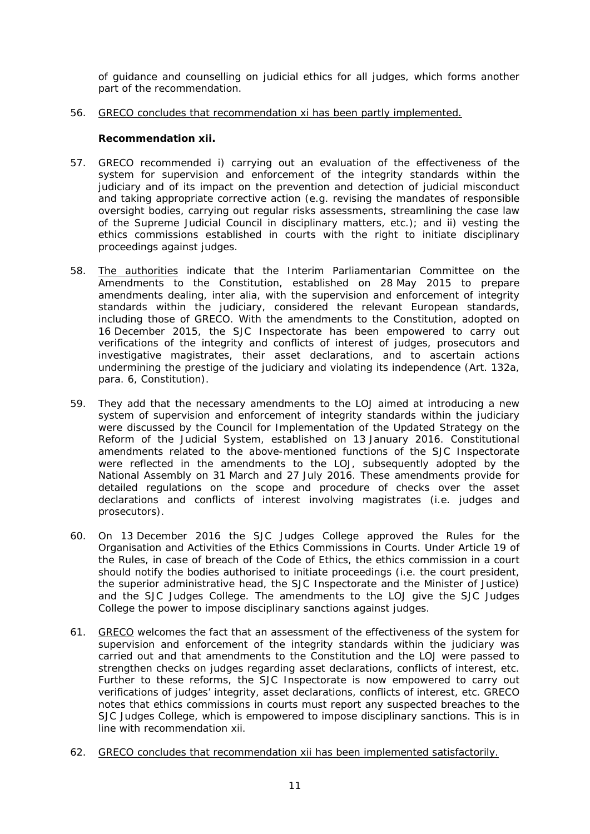of guidance and counselling on judicial ethics for all judges, which forms another part of the recommendation.

56. GRECO concludes that recommendation xi has been partly implemented.

**Recommendation xii.**

- 57. *GRECO recommended i) carrying out an evaluation of the effectiveness of the system for supervision and enforcement of the integrity standards within the judiciary and of its impact on the prevention and detection of judicial misconduct and taking appropriate corrective action (e.g. revising the mandates of responsible oversight bodies, carrying out regular risks assessments, streamlining the case law of the Supreme Judicial Council in disciplinary matters, etc.); and ii) vesting the ethics commissions established in courts with the right to initiate disciplinary proceedings against judges.*
- 58. The authorities indicate that the Interim Parliamentarian Committee on the Amendments to the Constitution, established on 28 May 2015 to prepare amendments dealing, *inter alia*, with the supervision and enforcement of integrity standards within the judiciary, considered the relevant European standards, including those of GRECO. With the amendments to the Constitution, adopted on 16 December 2015, the SJC Inspectorate has been empowered to carry out verifications of the integrity and conflicts of interest of judges, prosecutors and investigative magistrates, their asset declarations, and to ascertain actions undermining the prestige of the judiciary and violating its independence (Art. 132a, para. 6, Constitution).
- 59. They add that the necessary amendments to the LOJ aimed at introducing a new system of supervision and enforcement of integrity standards within the judiciary were discussed by the Council for Implementation of the Updated Strategy on the Reform of the Judicial System, established on 13 January 2016. Constitutional amendments related to the above-mentioned functions of the SJC Inspectorate were reflected in the amendments to the LOJ, subsequently adopted by the National Assembly on 31 March and 27 July 2016. These amendments provide for detailed regulations on the scope and procedure of checks over the asset declarations and conflicts of interest involving magistrates (i.e. judges and prosecutors).
- 60. On 13 December 2016 the SJC Judges College approved the Rules for the Organisation and Activities of the Ethics Commissions in Courts. Under Article 19 of the Rules, in case of breach of the Code of Ethics, the ethics commission in a court should notify the bodies authorised to initiate proceedings (i.e. the court president, the superior administrative head, the SJC Inspectorate and the Minister of Justice) and the SJC Judges College. The amendments to the LOJ give the SJC Judges College the power to impose disciplinary sanctions against judges.
- 61. GRECO welcomes the fact that an assessment of the effectiveness of the system for supervision and enforcement of the integrity standards within the judiciary was carried out and that amendments to the Constitution and the LOJ were passed to strengthen checks on judges regarding asset declarations, conflicts of interest, etc. Further to these reforms, the SJC Inspectorate is now empowered to carry out verifications of judges' integrity, asset declarations, conflicts of interest, etc. GRECO notes that ethics commissions in courts must report any suspected breaches to the SJC Judges College, which is empowered to impose disciplinary sanctions. This is in line with recommendation xii.
- 62. GRECO concludes that recommendation xii has been implemented satisfactorily.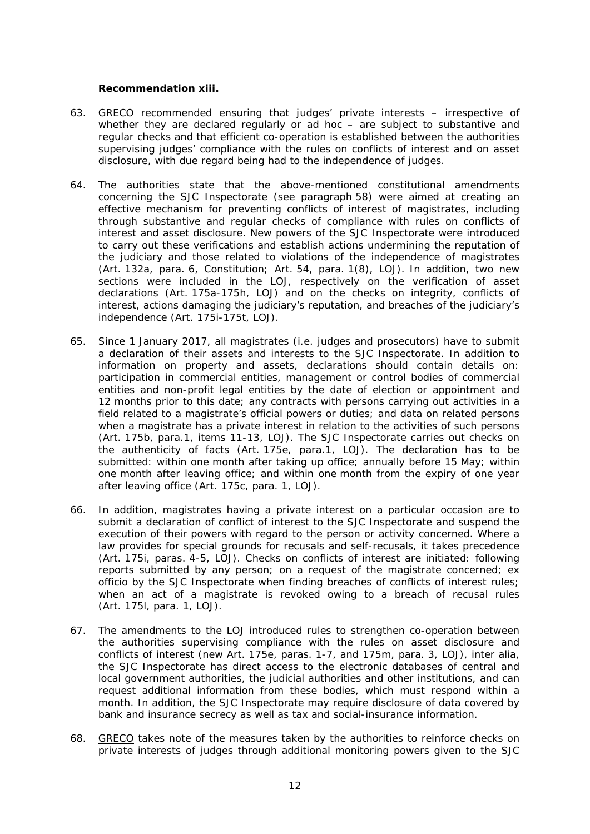**Recommendation xiii.**

- 63. *GRECO recommended ensuring that judges' private interests irrespective of whether they are declared regularly or ad hoc – are subject to substantive and regular checks and that efficient co-operation is established between the authorities supervising judges' compliance with the rules on conflicts of interest and on asset disclosure, with due regard being had to the independence of judges.*
- 64. The authorities state that the above-mentioned constitutional amendments concerning the SJC Inspectorate (see paragraph 58) were aimed at creating an effective mechanism for preventing conflicts of interest of magistrates, including through substantive and regular checks of compliance with rules on conflicts of interest and asset disclosure. New powers of the SJC Inspectorate were introduced to carry out these verifications and establish actions undermining the reputation of the judiciary and those related to violations of the independence of magistrates (Art. 132a, para. 6, Constitution; Art. 54, para. 1(8), LOJ). In addition, two new sections were included in the LOJ, respectively on the verification of asset declarations (Art. 175a-175h, LOJ) and on the checks on integrity, conflicts of interest, actions damaging the judiciary's reputation, and breaches of the judiciary's independence (Art. 175i-175t, LOJ).
- 65. Since 1 January 2017, all magistrates (i.e. judges and prosecutors) have to submit a declaration of their assets and interests to the SJC Inspectorate. In addition to information on property and assets, declarations should contain details on: participation in commercial entities, management or control bodies of commercial entities and non-profit legal entities by the date of election or appointment and 12 months prior to this date; any contracts with persons carrying out activities in a field related to a magistrate's official powers or duties; and data on related persons when a magistrate has a private interest in relation to the activities of such persons (Art. 175b, para.1, items 11-13, LOJ). The SJC Inspectorate carries out checks on the authenticity of facts (Art. 175e, para.1, LOJ). The declaration has to be submitted: within one month after taking up office; annually before 15 May; within one month after leaving office; and within one month from the expiry of one year after leaving office (Art. 175c, para. 1, LOJ).
- 66. In addition, magistrates having a private interest on a particular occasion are to submit a declaration of conflict of interest to the SJC Inspectorate and suspend the execution of their powers with regard to the person or activity concerned. Where a law provides for special grounds for recusals and self-recusals, it takes precedence (Art. 175i, paras. 4-5, LOJ). Checks on conflicts of interest are initiated: following reports submitted by any person; on a request of the magistrate concerned; ex officio by the SJC Inspectorate when finding breaches of conflicts of interest rules; when an act of a magistrate is revoked owing to a breach of recusal rules (Art. 175l, para. 1, LOJ).
- 67. The amendments to the LOJ introduced rules to strengthen co-operation between the authorities supervising compliance with the rules on asset disclosure and conflicts of interest (new Art. 175e, paras. 1-7, and 175m, para. 3, LOJ), *inter alia*, the SJC Inspectorate has direct access to the electronic databases of central and local government authorities, the judicial authorities and other institutions, and can request additional information from these bodies, which must respond within a month. In addition, the SJC Inspectorate may require disclosure of data covered by bank and insurance secrecy as well as tax and social-insurance information.
- 68. GRECO takes note of the measures taken by the authorities to reinforce checks on private interests of judges through additional monitoring powers given to the SJC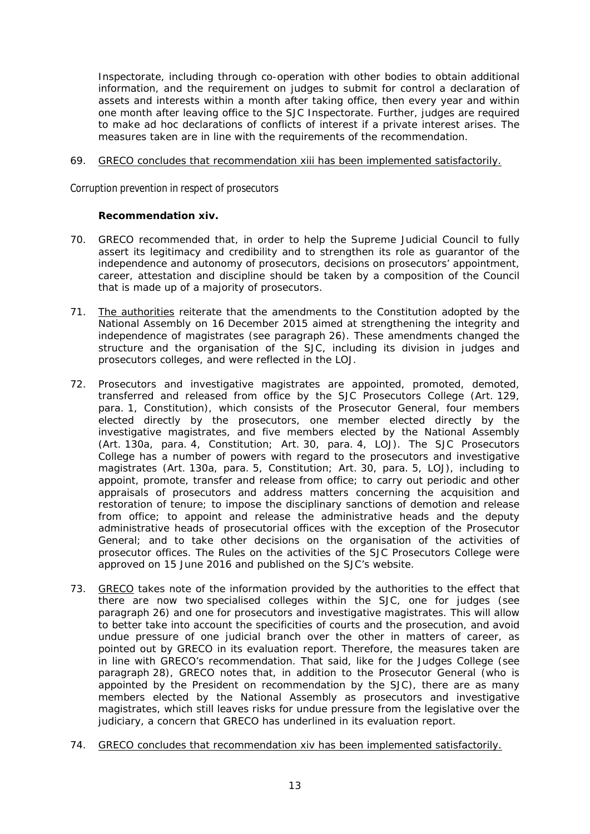Inspectorate, including through co-operation with other bodies to obtain additional information, and the requirement on judges to submit for control a declaration of assets and interests within a month after taking office, then every year and within one month after leaving office to the SJC Inspectorate. Further, judges are required to make ad hoc declarations of conflicts of interest if a private interest arises. The measures taken are in line with the requirements of the recommendation.

#### 69. GRECO concludes that recommendation xiii has been implemented satisfactorily.

*Corruption prevention in respect of prosecutors*

**Recommendation xiv.**

- 70. *GRECO recommended that, in order to help the Supreme Judicial Council to fully assert its legitimacy and credibility and to strengthen its role as guarantor of the independence and autonomy of prosecutors, decisions on prosecutors' appointment, career, attestation and discipline should be taken by a composition of the Council that is made up of a majority of prosecutors.*
- 71. The authorities reiterate that the amendments to the Constitution adopted by the National Assembly on 16 December 2015 aimed at strengthening the integrity and independence of magistrates (see paragraph 26). These amendments changed the structure and the organisation of the SJC, including its division in judges and prosecutors colleges, and were reflected in the LOJ.
- 72. Prosecutors and investigative magistrates are appointed, promoted, demoted, transferred and released from office by the SJC Prosecutors College (Art. 129, para. 1, Constitution), which consists of the Prosecutor General, four members elected directly by the prosecutors, one member elected directly by the investigative magistrates, and five members elected by the National Assembly (Art. 130a, para. 4, Constitution; Art. 30, para. 4, LOJ). The SJC Prosecutors College has a number of powers with regard to the prosecutors and investigative magistrates (Art. 130a, para. 5, Constitution; Art. 30, para. 5, LOJ), including to appoint, promote, transfer and release from office; to carry out periodic and other appraisals of prosecutors and address matters concerning the acquisition and restoration of tenure; to impose the disciplinary sanctions of demotion and release from office; to appoint and release the administrative heads and the deputy administrative heads of prosecutorial offices with the exception of the Prosecutor General; and to take other decisions on the organisation of the activities of prosecutor offices. The Rules on the activities of the SJC Prosecutors College were approved on 15 June 2016 and published on the SJC's website.
- 73. GRECO takes note of the information provided by the authorities to the effect that there are now two specialised colleges within the SJC, one for judges (see paragraph 26) and one for prosecutors and investigative magistrates. This will allow to better take into account the specificities of courts and the prosecution, and avoid undue pressure of one judicial branch over the other in matters of career, as pointed out by GRECO in its evaluation report. Therefore, the measures taken are in line with GRECO's recommendation. That said, like for the Judges College (see paragraph 28), GRECO notes that, in addition to the Prosecutor General (who is appointed by the President on recommendation by the SJC), there are as many members elected by the National Assembly as prosecutors and investigative magistrates, which still leaves risks for undue pressure from the legislative over the judiciary, a concern that GRECO has underlined in its evaluation report.
- 74. GRECO concludes that recommendation xiv has been implemented satisfactorily.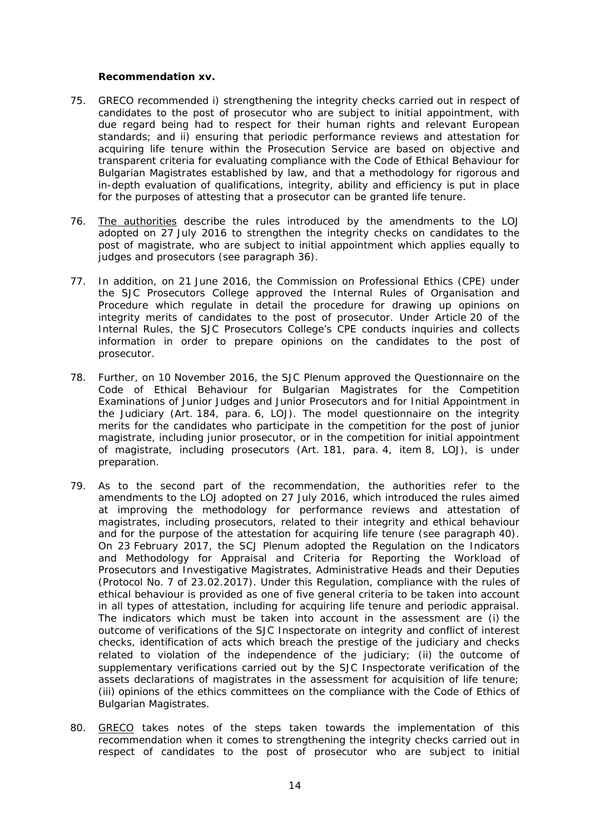#### **Recommendation xv.**

- 75. *GRECO recommended i) strengthening the integrity checks carried out in respect of candidates to the post of prosecutor who are subject to initial appointment, with due regard being had to respect for their human rights and relevant European standards; and ii) ensuring that periodic performance reviews and attestation for acquiring life tenure within the Prosecution Service are based on objective and transparent criteria for evaluating compliance with the Code of Ethical Behaviour for Bulgarian Magistrates established by law, and that a methodology for rigorous and in-depth evaluation of qualifications, integrity, ability and efficiency is put in place for the purposes of attesting that a prosecutor can be granted life tenure.*
- 76. The authorities describe the rules introduced by the amendments to the LOJ adopted on 27 July 2016 to strengthen the integrity checks on candidates to the post of magistrate, who are subject to initial appointment which applies equally to judges and prosecutors (see paragraph 36).
- 77. In addition, on 21 June 2016, the Commission on Professional Ethics (CPE) under the SJC Prosecutors College approved the Internal Rules of Organisation and Procedure which regulate in detail the procedure for drawing up opinions on integrity merits of candidates to the post of prosecutor. Under Article 20 of the Internal Rules, the SJC Prosecutors College's CPE conducts inquiries and collects information in order to prepare opinions on the candidates to the post of prosecutor.
- 78. Further, on 10 November 2016, the SJC Plenum approved the Questionnaire on the Code of Ethical Behaviour for Bulgarian Magistrates for the Competition Examinations of Junior Judges and Junior Prosecutors and for Initial Appointment in the Judiciary (Art. 184, para. 6, LOJ). The model questionnaire on the integrity merits for the candidates who participate in the competition for the post of junior magistrate, including junior prosecutor, or in the competition for initial appointment of magistrate, including prosecutors (Art. 181, para. 4, item 8, LOJ), is under preparation.
- 79. As to the second part of the recommendation, the authorities refer to the amendments to the LOJ adopted on 27 July 2016, which introduced the rules aimed at improving the methodology for performance reviews and attestation of magistrates, including prosecutors, related to their integrity and ethical behaviour and for the purpose of the attestation for acquiring life tenure (see paragraph 40). On 23 February 2017, the SCJ Plenum adopted the Regulation on the Indicators and Methodology for Appraisal and Criteria for Reporting the Workload of Prosecutors and Investigative Magistrates, Administrative Heads and their Deputies (Protocol No. 7 of 23.02.2017). Under this Regulation, compliance with the rules of ethical behaviour is provided as one of five general criteria to be taken into account in all types of attestation, including for acquiring life tenure and periodic appraisal. The indicators which must be taken into account in the assessment are (i) the outcome of verifications of the SJC Inspectorate on integrity and conflict of interest checks, identification of acts which breach the prestige of the judiciary and checks related to violation of the independence of the judiciary; (ii) the outcome of supplementary verifications carried out by the SJC Inspectorate verification of the assets declarations of magistrates in the assessment for acquisition of life tenure; (iii) opinions of the ethics committees on the compliance with the Code of Ethics of Bulgarian Magistrates.
- 80. GRECO takes notes of the steps taken towards the implementation of this recommendation when it comes to strengthening the integrity checks carried out in respect of candidates to the post of prosecutor who are subject to initial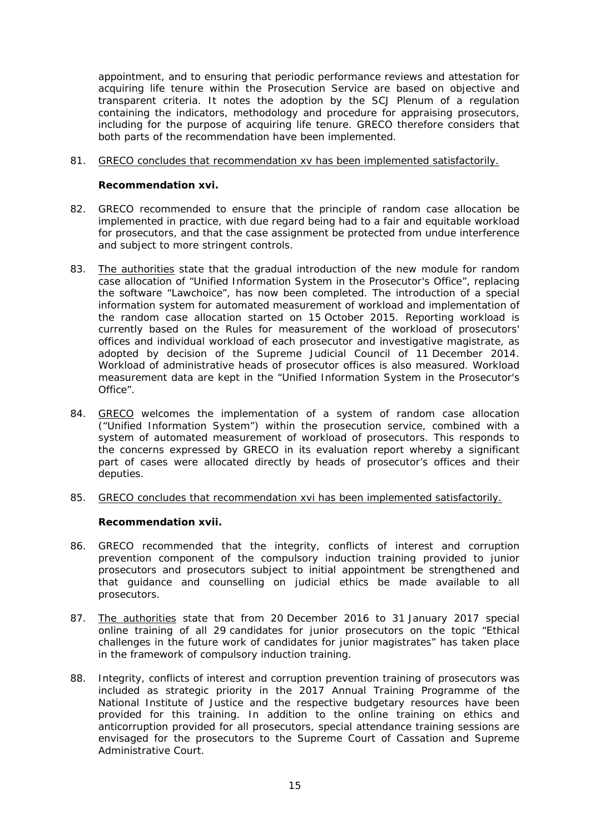appointment, and to ensuring that periodic performance reviews and attestation for acquiring life tenure within the Prosecution Service are based on objective and transparent criteria. It notes the adoption by the SCJ Plenum of a regulation containing the indicators, methodology and procedure for appraising prosecutors, including for the purpose of acquiring life tenure. GRECO therefore considers that both parts of the recommendation have been implemented.

81. GRECO concludes that recommendation xv has been implemented satisfactorily.

**Recommendation xvi.**

- 82. *GRECO recommended to ensure that the principle of random case allocation be implemented in practice, with due regard being had to a fair and equitable workload for prosecutors, and that the case assignment be protected from undue interference and subject to more stringent controls.*
- 83. The authorities state that the gradual introduction of the new module for random case allocation of "Unified Information System in the Prosecutor's Office", replacing the software "Lawchoice", has now been completed. The introduction of a special information system for automated measurement of workload and implementation of the random case allocation started on 15 October 2015. Reporting workload is currently based on the Rules for measurement of the workload of prosecutors' offices and individual workload of each prosecutor and investigative magistrate, as adopted by decision of the Supreme Judicial Council of 11 December 2014. Workload of administrative heads of prosecutor offices is also measured. Workload measurement data are kept in the "Unified Information System in the Prosecutor's Office".
- 84. GRECO welcomes the implementation of a system of random case allocation ("Unified Information System") within the prosecution service, combined with a system of automated measurement of workload of prosecutors. This responds to the concerns expressed by GRECO in its evaluation report whereby a significant part of cases were allocated directly by heads of prosecutor's offices and their deputies.
- 85. GRECO concludes that recommendation xvi has been implemented satisfactorily.

**Recommendation xvii.**

- 86. *GRECO recommended that the integrity, conflicts of interest and corruption prevention component of the compulsory induction training provided to junior prosecutors and prosecutors subject to initial appointment be strengthened and that guidance and counselling on judicial ethics be made available to all prosecutors.*
- 87. The authorities state that from 20 December 2016 to 31 January 2017 special online training of all 29 candidates for junior prosecutors on the topic "Ethical challenges in the future work of candidates for junior magistrates" has taken place in the framework of compulsory induction training.
- 88. Integrity, conflicts of interest and corruption prevention training of prosecutors was included as strategic priority in the 2017 Annual Training Programme of the National Institute of Justice and the respective budgetary resources have been provided for this training. In addition to the online training on ethics and anticorruption provided for all prosecutors, special attendance training sessions are envisaged for the prosecutors to the Supreme Court of Cassation and Supreme Administrative Court.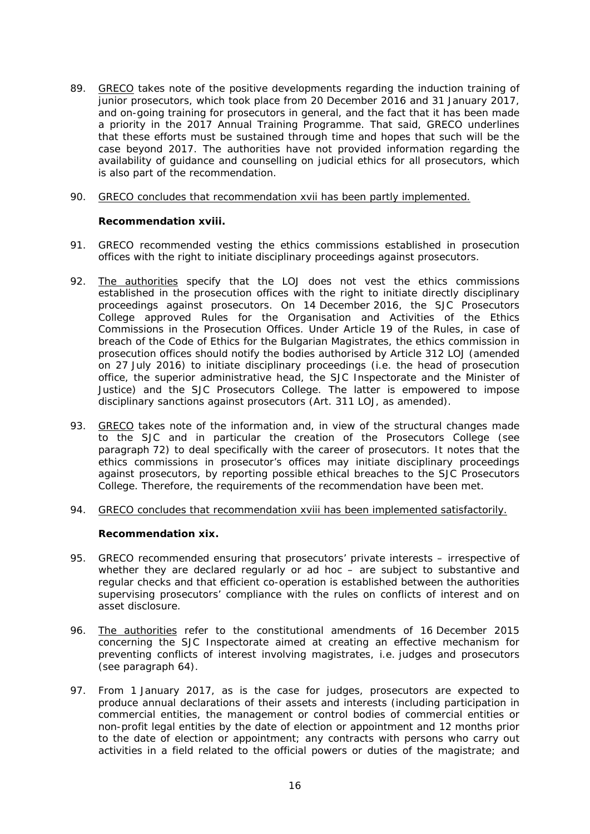- 89. GRECO takes note of the positive developments regarding the induction training of junior prosecutors, which took place from 20 December 2016 and 31 January 2017, and on-going training for prosecutors in general, and the fact that it has been made a priority in the 2017 Annual Training Programme. That said, GRECO underlines that these efforts must be sustained through time and hopes that such will be the case beyond 2017. The authorities have not provided information regarding the availability of guidance and counselling on judicial ethics for all prosecutors, which is also part of the recommendation.
- 90. GRECO concludes that recommendation xvii has been partly implemented.

**Recommendation xviii.**

- 91. *GRECO recommended vesting the ethics commissions established in prosecution offices with the right to initiate disciplinary proceedings against prosecutors.*
- 92. The authorities specify that the LOJ does not vest the ethics commissions established in the prosecution offices with the right to initiate directly disciplinary proceedings against prosecutors. On 14 December 2016, the SJC Prosecutors College approved Rules for the Organisation and Activities of the Ethics Commissions in the Prosecution Offices. Under Article 19 of the Rules, in case of breach of the Code of Ethics for the Bulgarian Magistrates, the ethics commission in prosecution offices should notify the bodies authorised by Article 312 LOJ (amended on 27 July 2016) to initiate disciplinary proceedings (i.e. the head of prosecution office, the superior administrative head, the SJC Inspectorate and the Minister of Justice) and the SJC Prosecutors College. The latter is empowered to impose disciplinary sanctions against prosecutors (Art. 311 LOJ, as amended).
- 93. GRECO takes note of the information and, in view of the structural changes made to the SJC and in particular the creation of the Prosecutors College (see paragraph 72) to deal specifically with the career of prosecutors. It notes that the ethics commissions in prosecutor's offices may initiate disciplinary proceedings against prosecutors, by reporting possible ethical breaches to the SJC Prosecutors College. Therefore, the requirements of the recommendation have been met.
- 94. GRECO concludes that recommendation xviii has been implemented satisfactorily.

**Recommendation xix.**

- 95. *GRECO recommended ensuring that prosecutors' private interests irrespective of whether they are declared regularly or ad hoc – are subject to substantive and regular checks and that efficient co-operation is established between the authorities supervising prosecutors' compliance with the rules on conflicts of interest and on asset disclosure.*
- 96. The authorities refer to the constitutional amendments of 16 December 2015 concerning the SJC Inspectorate aimed at creating an effective mechanism for preventing conflicts of interest involving magistrates, i.e. judges and prosecutors (see paragraph 64).
- 97. From 1 January 2017, as is the case for judges, prosecutors are expected to produce annual declarations of their assets and interests (including participation in commercial entities, the management or control bodies of commercial entities or non-profit legal entities by the date of election or appointment and 12 months prior to the date of election or appointment; any contracts with persons who carry out activities in a field related to the official powers or duties of the magistrate; and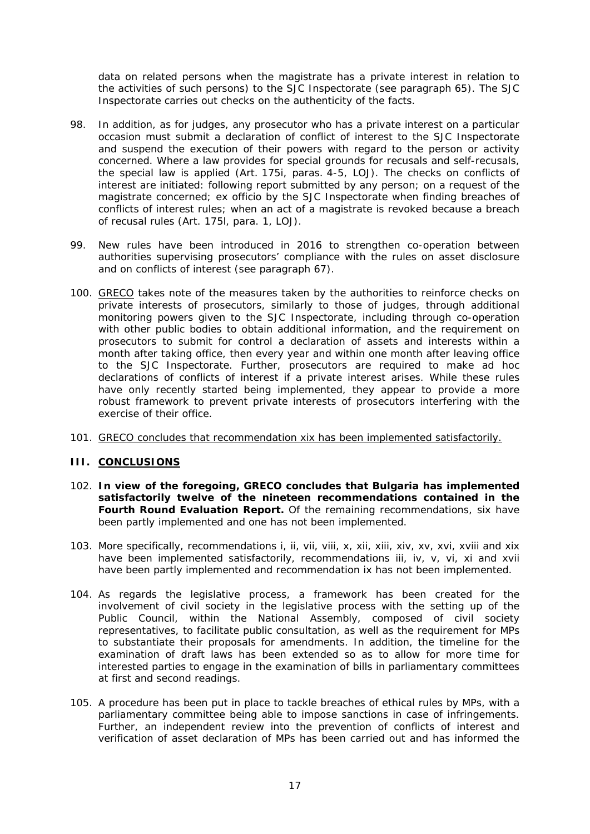data on related persons when the magistrate has a private interest in relation to the activities of such persons) to the SJC Inspectorate (see paragraph 65). The SJC Inspectorate carries out checks on the authenticity of the facts.

- 98. In addition, as for judges, any prosecutor who has a private interest on a particular occasion must submit a declaration of conflict of interest to the SJC Inspectorate and suspend the execution of their powers with regard to the person or activity concerned. Where a law provides for special grounds for recusals and self-recusals, the special law is applied (Art. 175i, paras. 4-5, LOJ). The checks on conflicts of interest are initiated: following report submitted by any person; on a request of the magistrate concerned; ex officio by the SJC Inspectorate when finding breaches of conflicts of interest rules; when an act of a magistrate is revoked because a breach of recusal rules (Art. 175l, para. 1, LOJ).
- 99. New rules have been introduced in 2016 to strengthen co-operation between authorities supervising prosecutors' compliance with the rules on asset disclosure and on conflicts of interest (see paragraph 67).
- 100. GRECO takes note of the measures taken by the authorities to reinforce checks on private interests of prosecutors, similarly to those of judges, through additional monitoring powers given to the SJC Inspectorate, including through co-operation with other public bodies to obtain additional information, and the requirement on prosecutors to submit for control a declaration of assets and interests within a month after taking office, then every year and within one month after leaving office to the SJC Inspectorate. Further, prosecutors are required to make ad hoc declarations of conflicts of interest if a private interest arises. While these rules have only recently started being implemented, they appear to provide a more robust framework to prevent private interests of prosecutors interfering with the exercise of their office.
- 101. GRECO concludes that recommendation xix has been implemented satisfactorily.
- **III. CONCLUSIONS**
- 102. **In view of the foregoing, GRECO concludes that Bulgaria has implemented satisfactorily twelve of the nineteen recommendations contained in the Fourth Round Evaluation Report.** Of the remaining recommendations, six have been partly implemented and one has not been implemented.
- 103. More specifically, recommendations i, ii, vii, viii, x, xii, xiii, xiv, xv, xvi, xviii and xix have been implemented satisfactorily, recommendations iii, iv, v, vi, xi and xvii have been partly implemented and recommendation ix has not been implemented.
- 104. As regards the legislative process, a framework has been created for the involvement of civil society in the legislative process with the setting up of the Public Council, within the National Assembly, composed of civil society representatives, to facilitate public consultation, as well as the requirement for MPs to substantiate their proposals for amendments. In addition, the timeline for the examination of draft laws has been extended so as to allow for more time for interested parties to engage in the examination of bills in parliamentary committees at first and second readings.
- 105. A procedure has been put in place to tackle breaches of ethical rules by MPs, with a parliamentary committee being able to impose sanctions in case of infringements. Further, an independent review into the prevention of conflicts of interest and verification of asset declaration of MPs has been carried out and has informed the